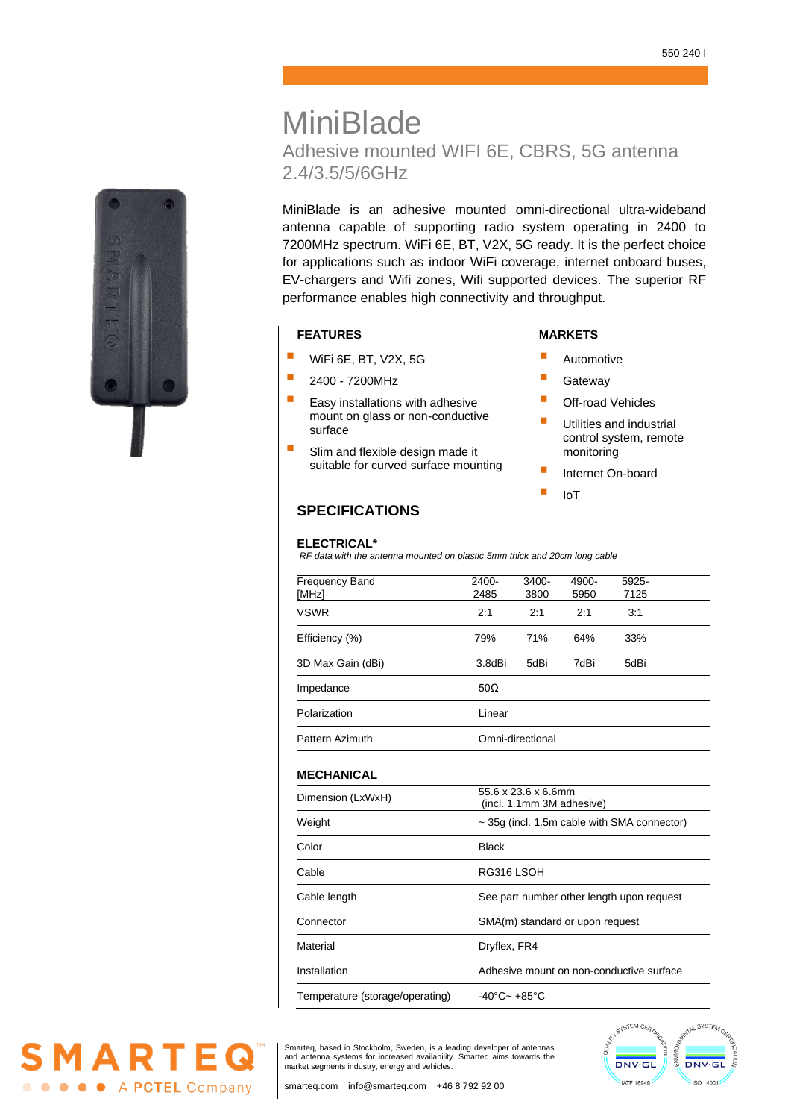# **MiniBlade** Adhesive mounted WIFI 6E, CBRS, 5G antenna 2.4/3.5/5/6GHz

MiniBlade is an adhesive mounted omni-directional ultra-wideband antenna capable of supporting radio system operating in 2400 to 7200MHz spectrum. WiFi 6E, BT, V2X, 5G ready. It is the perfect choice for applications such as indoor WiFi coverage, internet onboard buses, EV-chargers and Wifi zones, Wifi supported devices. The superior RF performance enables high connectivity and throughput.

# **FEATURES MARKETS**

- **WiFi 6E, BT, V2X, 5G**
- $\blacksquare$  2400 7200MHz
- Easy installations with adhesive mount on glass or non-conductive surface
- **E** Slim and flexible design made it suitable for curved surface mounting

- **E** Automotive
- **Gateway**
- Off-road Vehicles
- **Utilities and industrial** control system, remote monitoring
- **E** Internet On-board
- $\blacksquare$  IoT

# **SPECIFICATIONS**

#### **ELECTRICAL\***

*RF data with the antenna mounted on plastic 5mm thick and 20cm long cable*

| Frequency Band    | $2400 -$         | 3400- | 4900- | 5925- |
|-------------------|------------------|-------|-------|-------|
| [MHz]             | 2485             | 3800  | 5950  | 7125  |
| <b>VSWR</b>       | 2:1              | 2:1   | 2:1   | 3:1   |
| Efficiency (%)    | 79%              | 71%   | 64%   | 33%   |
| 3D Max Gain (dBi) | 3.8dBi           | 5dBi  | 7dBi  | 5dBi  |
| Impedance         | $50\Omega$       |       |       |       |
| Polarization      | Linear           |       |       |       |
| Pattern Azimuth   | Omni-directional |       |       |       |

### **MECHANICAL**

| Dimension (LxWxH)               | $55.6 \times 23.6 \times 6.6$ mm<br>(incl. 1.1mm 3M adhesive) |  |  |
|---------------------------------|---------------------------------------------------------------|--|--|
| Weight                          | $\sim$ 35g (incl. 1.5m cable with SMA connector)              |  |  |
| Color                           | Black                                                         |  |  |
| Cable                           | RG316 LSOH                                                    |  |  |
| Cable length                    | See part number other length upon request                     |  |  |
| Connector                       | SMA(m) standard or upon request                               |  |  |
| Material                        | Dryflex, FR4                                                  |  |  |
| Installation                    | Adhesive mount on non-conductive surface                      |  |  |
| Temperature (storage/operating) | $-40^{\circ}$ C ~ $+85^{\circ}$ C                             |  |  |
|                                 |                                                               |  |  |

Smarteq, based in Stockholm, Sweden, is a leading developer of antennas and antenna systems for increased availability. Smarteq aims towards the market segments industry, energy and vehicles.





MARTEG

**O O O** A PCTEL Company